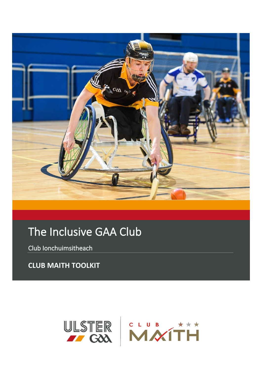

# The Inclusive GAA Club

Club Ionchuimsitheach

**CLUB MAITH TOOLKIT** 

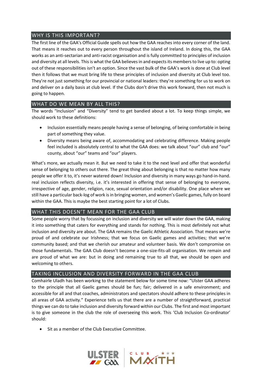# WHY IS THIS IMPORTANT?

The first line of the GAA's Official Guide spells out how the GAA reaches into every corner of the land. That means it reaches out to every person throughout the island of Ireland. In doing this, the GAA works as an anti-sectarian and anti-racist organisation and is fully committed to principles of inclusion and diversity at all levels. This is what the GAA believes in and expects its members to live up to: opting out of these responsibilities isn't an option. Since the vast bulk of the GAA's work is done at Club level then it follows that we must bring life to these principles of inclusion and diversity at Club level too. They're not just something for our provincial or national leaders: they're something for us to work on and deliver on a daily basis at club level. If the Clubs don't drive this work forward, then not much is going to happen.

# WHAT DO WE MEAN BY ALL THIS?

The words "Inclusion" and "Diversity" tend to get bandied about a lot. To keep things simple, we should work to these definitions:

- Inclusion essentially means people having a sense of belonging, of being comfortable in being part of something they value.
- Diversity means being aware of, accommodating and celebrating difference. Making people feel included is absolutely central to what the GAA does: we talk about "our" club and "our" county, about "our" teams and "our" players.

What's more, we actually mean it. But we need to take it to the next level and offer that wonderful sense of belonging to others out there. The great thing about belonging is that no matter how many people we offer it to, it's never watered down! Inclusion and diversity in many ways go hand-in-hand. real inclusion reflects diversity, i.e. it's interested in offering that sense of belonging to everyone, irrespective of age, gender, religion, race, sexual orientation and/or disability. One place where we still have a particular back-log of work is in bringing women, and women's Gaelic games, fully on board within the GAA. This is maybe the best starting point for a lot of Clubs.

# WHAT THIS DOESN'T MEAN FOR THE GAA CLUB

Some people worry that by focussing on inclusion and diversity we will water down the GAA, making it into something that caters for everything and stands for nothing. This is most definitely not what inclusion and diversity are about. The GAA remains the Gaelic Athletic Association. That means we're proud of and celebrate our Irishness; that we focus on Gaelic games and activities; that we're community based; and that we cherish our amateur and volunteer basis. We don't compromise on those fundamentals. The GAA Club doesn't become a one-size-fits-all organisation. We remain and are proud of what we are: but in doing and remaining true to all that, we should be open and welcoming to others.

# TAKING INCLUSION AND DIVERSITY FORWARD IN THE GAA CLUB

Comhairle Uladh has been working to the statement below for some time now: "Ulster GAA adheres to the principle that all Gaelic games should be fun; fair; delivered in a safe environment; and accessible for all and that coaches, administrators and spectators should adhere to these principles in all areas of GAA activity." Experience tells us that there are a number of straightforward, practical things we can do to take inclusion and diversity forward within our Clubs. The first and most important is to give someone in the club the role of overseeing this work. This 'Club Inclusion Co-ordinator' should:

• Sit as a member of the Club Executive Committee.

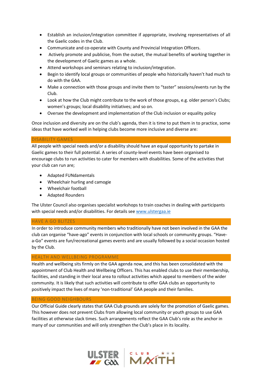- Establish an inclusion/integration committee if appropriate, involving representatives of all the Gaelic codes in the Club.
- Communicate and co-operate with County and Provincial Integration Officers.
- Actively promote and publicise, from the outset, the mutual benefits of working together in the development of Gaelic games as a whole.
- Attend workshops and seminars relating to inclusion/integration.
- Begin to identify local groups or communities of people who historically haven't had much to do with the GAA.
- Make a connection with those groups and invite them to "taster" sessions/events run by the Club.
- Look at how the Club might contribute to the work of those groups, e.g. older person's Clubs; women's groups; local disability initiatives; and so on.
- Oversee the development and implementation of the Club inclusion or equality policy

Once inclusion and diversity are on the club's agenda, then it is time to put them in to practice, some ideas that have worked well in helping clubs become more inclusive and diverse are:

#### DISABILITY GAMES

All people with special needs and/or a disability should have an equal opportunity to partake in Gaelic games to their full potential. A series of county-level events have been organised to encourage clubs to run activities to cater for members with disabilities. Some of the activities that your club can run are;

- Adapted FUNdamentals
- Wheelchair hurling and camogie
- Wheelchair football
- Adapted Rounders

The Ulster Council also organises specialist workshops to train coaches in dealing with participants with special needs and/or disabilities. For details see [www.ulstergaa.ie](http://www.ulstergaa.ie/)

#### HAVE A GO BLITZES

In order to introduce community members who traditionally have not been involved in the GAA the club can organise "have-ago" events in conjunction with local schools or community groups. "Havea-Go" events are fun/recreational games events and are usually followed by a social occasion hosted by the Club.

#### HEALTH AND WELLBEING PROGRAMME

Health and wellbeing sits firmly on the GAA agenda now, and this has been consolidated with the appointment of Club Health and Wellbeing Officers. This has enabled clubs to use their membership, facilities, and standing in their local area to rollout activities which appeal to members of the wider community. It is likely that such activities will contribute to offer GAA clubs an opportunity to positively impact the lives of many 'non-traditional' GAA people and their families.

#### BEING GOOD NEIGHBOURS

Our Official Guide clearly states that GAA Club grounds are solely for the promotion of Gaelic games. This however does not prevent Clubs from allowing local community or youth groups to use GAA facilities at otherwise slack times. Such arrangements reflect the GAA Club's role as the anchor in many of our communities and will only strengthen the Club's place in its locality.

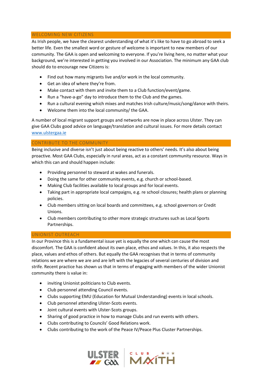#### WELCOMING NEW CITIZENS

As Irish people, we have the clearest understanding of what it's like to have to go abroad to seek a better life. Even the smallest word or gesture of welcome is important to new members of our community. The GAA is open and welcoming to everyone. If you're living here, no matter what your background, we're interested in getting you involved in our Association. The minimum any GAA club should do to encourage new Citizens is:

- Find out how many migrants live and/or work in the local community.
- Get an idea of where they're from.
- Make contact with them and invite them to a Club function/event/game.
- Run a "have-a-go" day to introduce them to the Club and the games.
- Run a cultural evening which mixes and matches Irish culture/music/song/dance with theirs.
- Welcome them into the local community/ the GAA.

A number of local migrant support groups and networks are now in place across Ulster. They can give GAA Clubs good advice on language/translation and cultural issues. For more details contact [www.ulstergaa.ie](http://www.ulstergaa.ie/)

#### CONTRIBUTE TO THE COMMUNITY

Being inclusive and diverse isn't just about being reactive to others' needs. It's also about being proactive. Most GAA Clubs, especially in rural areas, act as a constant community resource. Ways in which this can and should happen include:

- Providing personnel to steward at wakes and funerals.
- Doing the same for other community events, e.g. church or school-based.
- Making Club facilities available to local groups and for local events.
- Taking part in appropriate local campaigns, e.g. re school closures; health plans or planning policies.
- Club members sitting on local boards and committees, e.g. school governors or Credit Unions.
- Club members contributing to other more strategic structures such as Local Sports Partnerships.

#### UNIONIST OUTREACH

In our Province this is a fundamental issue yet is equally the one which can cause the most discomfort. The GAA is confident about its own place, ethos and values. In this, it also respects the place, values and ethos of others. But equally the GAA recognises that in terms of community relations we are where we are and are left with the legacies of several centuries of division and strife. Recent practice has shown us that in terms of engaging with members of the wider Unionist community there is value in:

- inviting Unionist politicians to Club events.
- Club personnel attending Council events.
- Clubs supporting EMU (Education for Mutual Understanding) events in local schools.
- Club personnel attending Ulster-Scots events.
- Joint cultural events with Ulster-Scots groups.
- Sharing of good practice in how to manage Clubs and run events with others.
- Clubs contributing to Councils' Good Relations work.
- Clubs contributing to the work of the Peace IV/Peace Plus Cluster Partnerships.